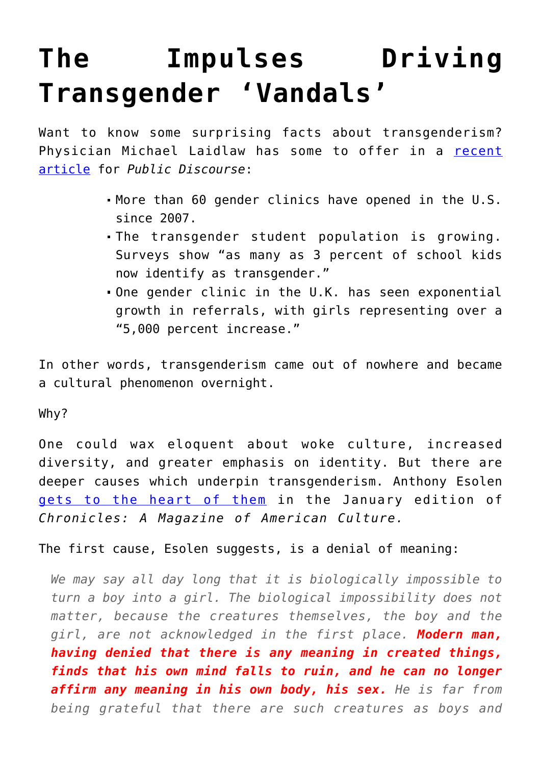## **[The Impulses Driving](https://intellectualtakeout.org/2020/01/the-impulses-driving-transgender-vandals/) [Transgender 'Vandals'](https://intellectualtakeout.org/2020/01/the-impulses-driving-transgender-vandals/)**

Want to know some surprising facts about transgenderism? Physician Michael Laidlaw has some to offer in a [recent](https://www.thepublicdiscourse.com/2020/01/59422/) [article](https://www.thepublicdiscourse.com/2020/01/59422/) for *Public Discourse*:

- More than 60 gender clinics have opened in the U.S. since 2007.
- The transgender student population is growing. Surveys show "as many as 3 percent of school kids now identify as transgender."
- One gender clinic in the U.K. has seen exponential growth in referrals, with girls representing over a "5,000 percent increase."

In other words, transgenderism came out of nowhere and became a cultural phenomenon overnight.

Why?

One could wax eloquent about woke culture, increased diversity, and greater emphasis on identity. But there are deeper causes which underpin transgenderism. Anthony Esolen [gets to the heart of them](https://www.chroniclesmagazine.org/2020/January/45/1/magazine/article/10847263/) in the January edition of *Chronicles: A Magazine of American Culture.*

The first cause, Esolen suggests, is a denial of meaning:

*We may say all day long that it is biologically impossible to turn a boy into a girl. The biological impossibility does not matter, because the creatures themselves, the boy and the girl, are not acknowledged in the first place. Modern man, having denied that there is any meaning in created things, finds that his own mind falls to ruin, and he can no longer affirm any meaning in his own body, his sex. He is far from being grateful that there are such creatures as boys and*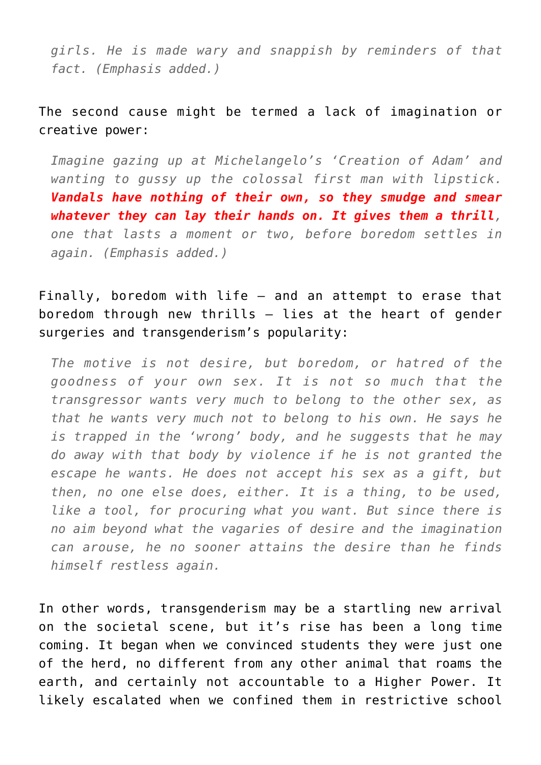*girls. He is made wary and snappish by reminders of that fact. (Emphasis added.)*

## The second cause might be termed a lack of imagination or creative power:

*Imagine gazing up at Michelangelo's 'Creation of Adam' and wanting to gussy up the colossal first man with lipstick. Vandals have nothing of their own, so they smudge and smear whatever they can lay their hands on. It gives them a thrill, one that lasts a moment or two, before boredom settles in again. (Emphasis added.)*

## Finally, boredom with life – and an attempt to erase that boredom through new thrills – lies at the heart of gender surgeries and transgenderism's popularity:

*The motive is not desire, but boredom, or hatred of the goodness of your own sex. It is not so much that the transgressor wants very much to belong to the other sex, as that he wants very much not to belong to his own. He says he is trapped in the 'wrong' body, and he suggests that he may do away with that body by violence if he is not granted the escape he wants. He does not accept his sex as a gift, but then, no one else does, either. It is a thing, to be used, like a tool, for procuring what you want. But since there is no aim beyond what the vagaries of desire and the imagination can arouse, he no sooner attains the desire than he finds himself restless again.*

In other words, transgenderism may be a startling new arrival on the societal scene, but it's rise has been a long time coming. It began when we convinced students they were just one of the herd, no different from any other animal that roams the earth, and certainly not accountable to a Higher Power. It likely escalated when we confined them in restrictive school